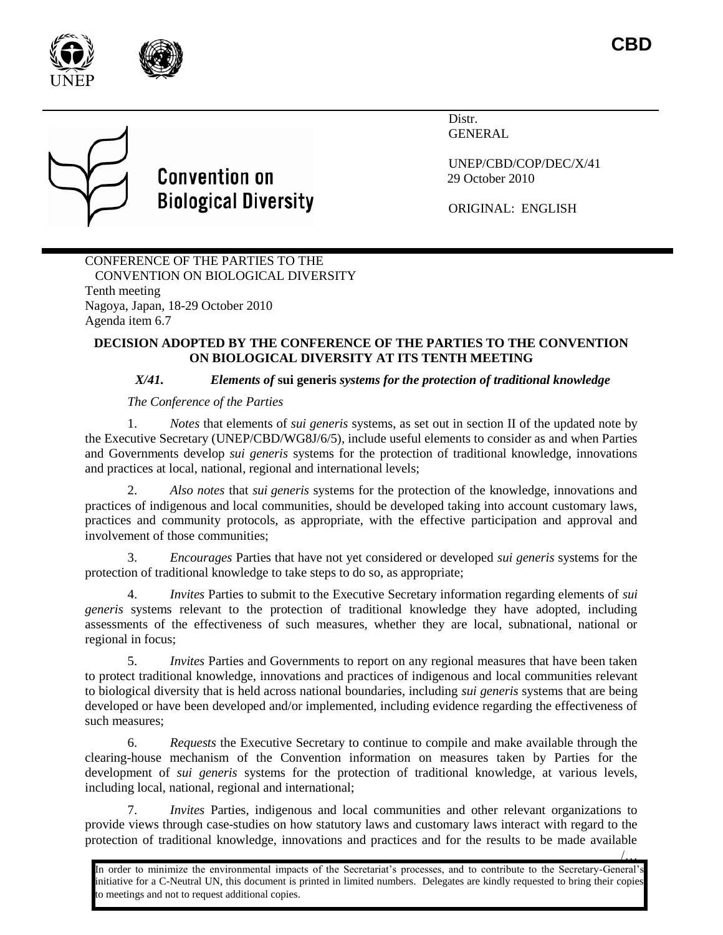



Distr. GENERAL

UNEP/CBD/COP/DEC/X/41 29 October 2010

ORIGINAL: ENGLISH

## CONFERENCE OF THE PARTIES TO THE CONVENTION ON BIOLOGICAL DIVERSITY Tenth meeting Nagoya, Japan, 18-29 October 2010 Agenda item 6.7

**Convention on** 

**Biological Diversity** 

## **DECISION ADOPTED BY THE CONFERENCE OF THE PARTIES TO THE CONVENTION ON BIOLOGICAL DIVERSITY AT ITS TENTH MEETING**

## *X/41. Elements of* **sui generis** *systems for the protection of traditional knowledge*

## *The Conference of the Parties*

1. *Notes* that elements of *sui generis* systems, as set out in section II of the updated note by the Executive Secretary (UNEP/CBD/WG8J/6/5), include useful elements to consider as and when Parties and Governments develop *sui generis* systems for the protection of traditional knowledge, innovations and practices at local, national, regional and international levels;

2. *Also notes* that *sui generis* systems for the protection of the knowledge, innovations and practices of indigenous and local communities, should be developed taking into account customary laws, practices and community protocols, as appropriate, with the effective participation and approval and involvement of those communities;

3. *Encourages* Parties that have not yet considered or developed *sui generis* systems for the protection of traditional knowledge to take steps to do so, as appropriate;

4. *Invites* Parties to submit to the Executive Secretary information regarding elements of *sui generis* systems relevant to the protection of traditional knowledge they have adopted, including assessments of the effectiveness of such measures, whether they are local, subnational, national or regional in focus;

5. *Invites* Parties and Governments to report on any regional measures that have been taken to protect traditional knowledge, innovations and practices of indigenous and local communities relevant to biological diversity that is held across national boundaries, including *sui generis* systems that are being developed or have been developed and/or implemented, including evidence regarding the effectiveness of such measures;

6. *Requests* the Executive Secretary to continue to compile and make available through the clearing-house mechanism of the Convention information on measures taken by Parties for the development of *sui generis* systems for the protection of traditional knowledge, at various levels, including local, national, regional and international;

7. *Invites* Parties, indigenous and local communities and other relevant organizations to provide views through case-studies on how statutory laws and customary laws interact with regard to the protection of traditional knowledge, innovations and practices and for the results to be made available

/… In order to minimize the environmental impacts of the Secretariat's processes, and to contribute to the Secretary-General's initiative for a C-Neutral UN, this document is printed in limited numbers. Delegates are kindly requested to bring their copies to meetings and not to request additional copies.